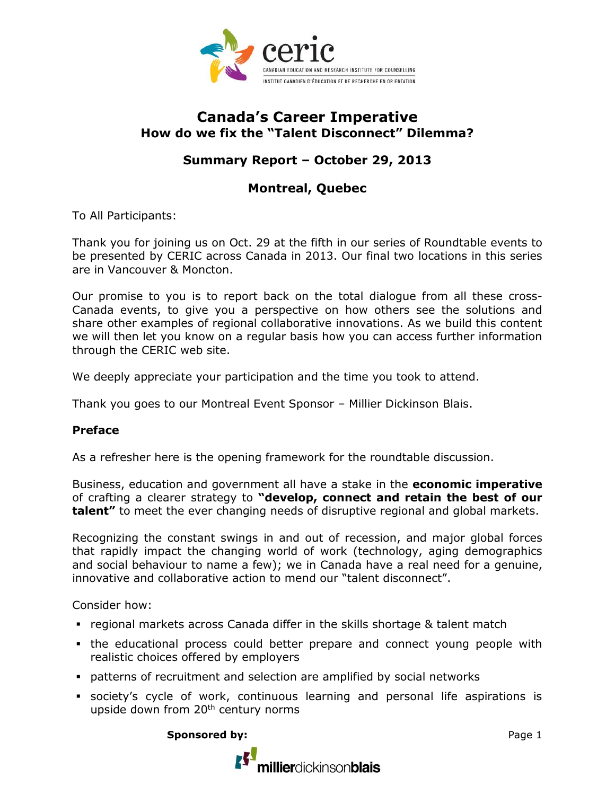

# **Canada's Career Imperative How do we fix the "Talent Disconnect" Dilemma?**

# **Summary Report – October 29, 2013**

# **Montreal, Quebec**

To All Participants:

Thank you for joining us on Oct. 29 at the fifth in our series of Roundtable events to be presented by CERIC across Canada in 2013. Our final two locations in this series are in Vancouver & Moncton.

Our promise to you is to report back on the total dialogue from all these cross-Canada events, to give you a perspective on how others see the solutions and share other examples of regional collaborative innovations. As we build this content we will then let you know on a regular basis how you can access further information through the CERIC web site.

We deeply appreciate your participation and the time you took to attend.

Thank you goes to our Montreal Event Sponsor – Millier Dickinson Blais.

#### **Preface**

As a refresher here is the opening framework for the roundtable discussion.

Business, education and government all have a stake in the **economic imperative**  of crafting a clearer strategy to **"develop, connect and retain the best of our talent"** to meet the ever changing needs of disruptive regional and global markets.

Recognizing the constant swings in and out of recession, and major global forces that rapidly impact the changing world of work (technology, aging demographics and social behaviour to name a few); we in Canada have a real need for a genuine, innovative and collaborative action to mend our "talent disconnect".

Consider how:

- regional markets across Canada differ in the skills shortage & talent match
- the educational process could better prepare and connect young people with realistic choices offered by employers
- patterns of recruitment and selection are amplified by social networks
- society's cycle of work, continuous learning and personal life aspirations is upside down from 20<sup>th</sup> century norms

**Sponsored by:** Page 1

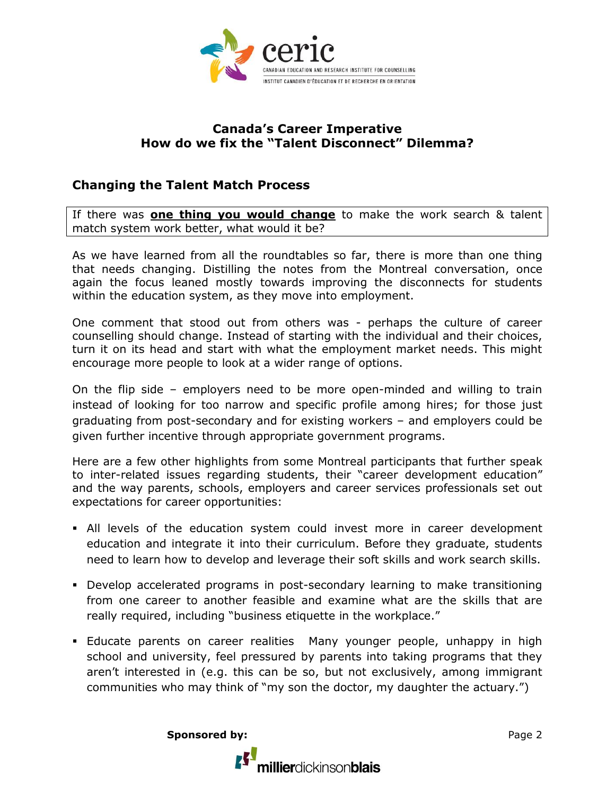

#### **Canada's Career Imperative How do we fix the "Talent Disconnect" Dilemma?**

### **Changing the Talent Match Process**

If there was **one thing you would change** to make the work search & talent match system work better, what would it be?

As we have learned from all the roundtables so far, there is more than one thing that needs changing. Distilling the notes from the Montreal conversation, once again the focus leaned mostly towards improving the disconnects for students within the education system, as they move into employment.

One comment that stood out from others was - perhaps the culture of career counselling should change. Instead of starting with the individual and their choices, turn it on its head and start with what the employment market needs. This might encourage more people to look at a wider range of options.

On the flip side – employers need to be more open-minded and willing to train instead of looking for too narrow and specific profile among hires; for those just graduating from post-secondary and for existing workers – and employers could be given further incentive through appropriate government programs.

Here are a few other highlights from some Montreal participants that further speak to inter-related issues regarding students, their "career development education" and the way parents, schools, employers and career services professionals set out expectations for career opportunities:

- All levels of the education system could invest more in career development education and integrate it into their curriculum. Before they graduate, students need to learn how to develop and leverage their soft skills and work search skills.
- Develop accelerated programs in post-secondary learning to make transitioning from one career to another feasible and examine what are the skills that are really required, including "business etiquette in the workplace."
- **Educate parents on career realities Many younger people, unhappy in high** school and university, feel pressured by parents into taking programs that they aren't interested in (e.g. this can be so, but not exclusively, among immigrant communities who may think of "my son the doctor, my daughter the actuary.")

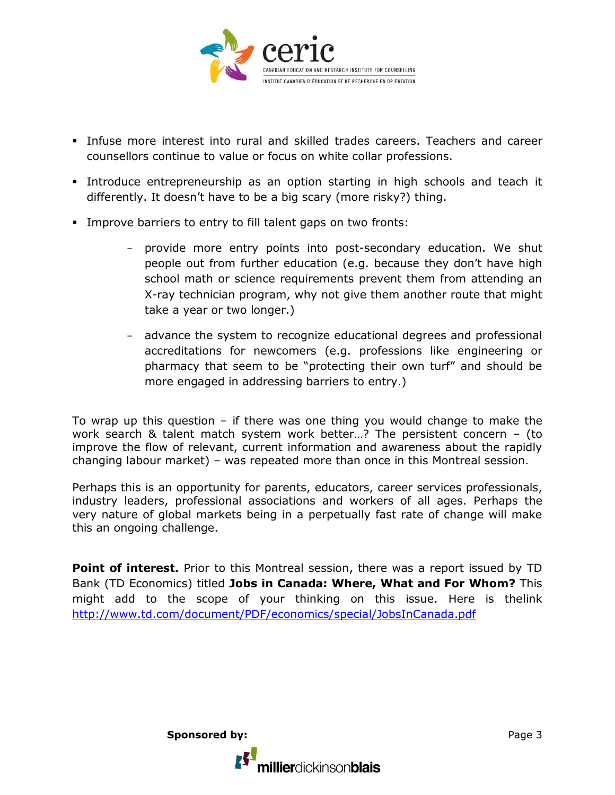

- Infuse more interest into rural and skilled trades careers. Teachers and career counsellors continue to value or focus on white collar professions.
- Introduce entrepreneurship as an option starting in high schools and teach it differently. It doesn't have to be a big scary (more risky?) thing.
- Improve barriers to entry to fill talent gaps on two fronts:
	- provide more entry points into post-secondary education. We shut people out from further education (e.g. because they don't have high school math or science requirements prevent them from attending an X-ray technician program, why not give them another route that might take a year or two longer.)
	- advance the system to recognize educational degrees and professional accreditations for newcomers (e.g. professions like engineering or pharmacy that seem to be "protecting their own turf" and should be more engaged in addressing barriers to entry.)

To wrap up this question  $-$  if there was one thing you would change to make the work search & talent match system work better…? The persistent concern – (to improve the flow of relevant, current information and awareness about the rapidly changing labour market) – was repeated more than once in this Montreal session.

Perhaps this is an opportunity for parents, educators, career services professionals, industry leaders, professional associations and workers of all ages. Perhaps the very nature of global markets being in a perpetually fast rate of change will make this an ongoing challenge.

**Point of interest.** Prior to this Montreal session, there was a report issued by TD Bank (TD Economics) titled **Jobs in Canada: Where, What and For Whom?** This might add to the scope of your thinking on this issue. Here is thelink <http://www.td.com/document/PDF/economics/special/JobsInCanada.pdf>

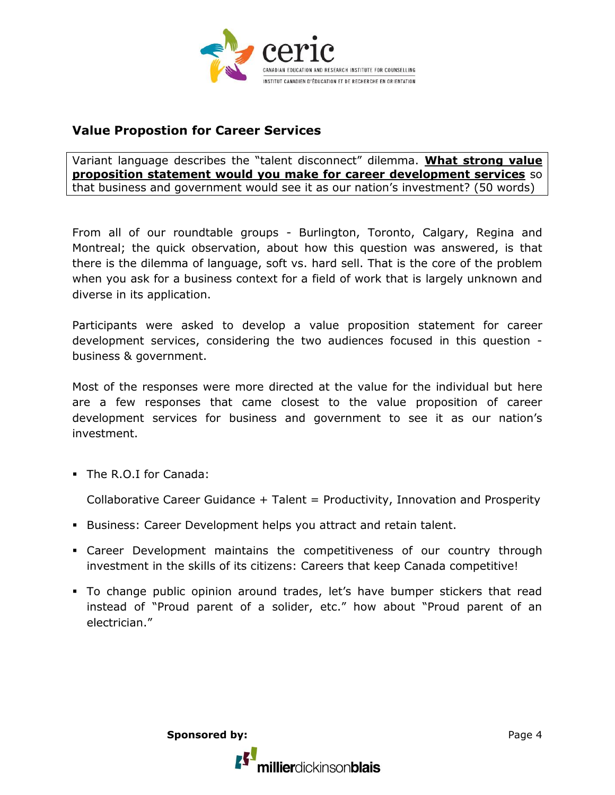

## **Value Propostion for Career Services**

Variant language describes the "talent disconnect" dilemma. **What strong value proposition statement would you make for career development services** so that business and government would see it as our nation's investment? (50 words)

From all of our roundtable groups - Burlington, Toronto, Calgary, Regina and Montreal; the quick observation, about how this question was answered, is that there is the dilemma of language, soft vs. hard sell. That is the core of the problem when you ask for a business context for a field of work that is largely unknown and diverse in its application.

Participants were asked to develop a value proposition statement for career development services, considering the two audiences focused in this question business & government.

Most of the responses were more directed at the value for the individual but here are a few responses that came closest to the value proposition of career development services for business and government to see it as our nation's investment.

The R.O.I for Canada:

Collaborative Career Guidance + Talent = Productivity, Innovation and Prosperity

- **Business: Career Development helps you attract and retain talent.**
- Career Development maintains the competitiveness of our country through investment in the skills of its citizens: Careers that keep Canada competitive!
- To change public opinion around trades, let's have bumper stickers that read instead of "Proud parent of a solider, etc." how about "Proud parent of an electrician."

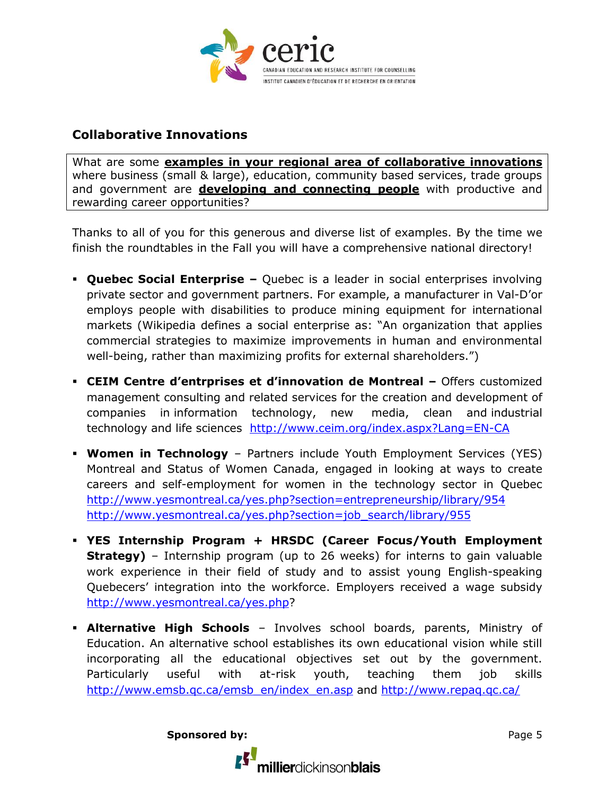

## **Collaborative Innovations**

What are some **examples in your regional area of collaborative innovations** where business (small & large), education, community based services, trade groups and government are **developing and connecting people** with productive and rewarding career opportunities?

Thanks to all of you for this generous and diverse list of examples. By the time we finish the roundtables in the Fall you will have a comprehensive national directory!

- **Quebec Social Enterprise –** Quebec is a leader in social enterprises involving private sector and government partners. For example, a manufacturer in Val-D'or employs people with disabilities to produce mining equipment for international markets (Wikipedia defines a social enterprise as: "An organization that applies commercial strategies to maximize improvements in human and environmental well-being, rather than maximizing profits for external shareholders.")
- **CEIM Centre d'entrprises et d'innovation de Montreal –** Offers customized management consulting and related services for the creation and development of companies in information technology, new media, clean and industrial technology and life sciences <http://www.ceim.org/index.aspx?Lang=EN-CA>
- **Women in Technology** Partners include Youth Employment Services (YES) Montreal and Status of Women Canada, engaged in looking at ways to create careers and self-employment for women in the technology sector in Quebec <http://www.yesmontreal.ca/yes.php?section=entrepreneurship/library/954> [http://www.yesmontreal.ca/yes.php?section=job\\_search/library/955](http://www.yesmontreal.ca/yes.php?section=job_search/library/955)
- **YES Internship Program + HRSDC (Career Focus/Youth Employment Strategy)** – Internship program (up to 26 weeks) for interns to gain valuable work experience in their field of study and to assist young English-speaking Quebecers' integration into the workforce. Employers received a wage subsidy [http://www.yesmontreal.ca/yes.php?](http://www.yesmontreal.ca/yes.php)
- **Alternative High Schools** Involves school boards, parents, Ministry of Education. An alternative school establishes its own educational vision while still incorporating all the educational objectives set out by the government. Particularly useful with at-risk youth, teaching them job skills [http://www.emsb.qc.ca/emsb\\_en/index\\_en.asp](http://www.emsb.qc.ca/emsb_en/index_en.asp) and<http://www.repaq.qc.ca/>